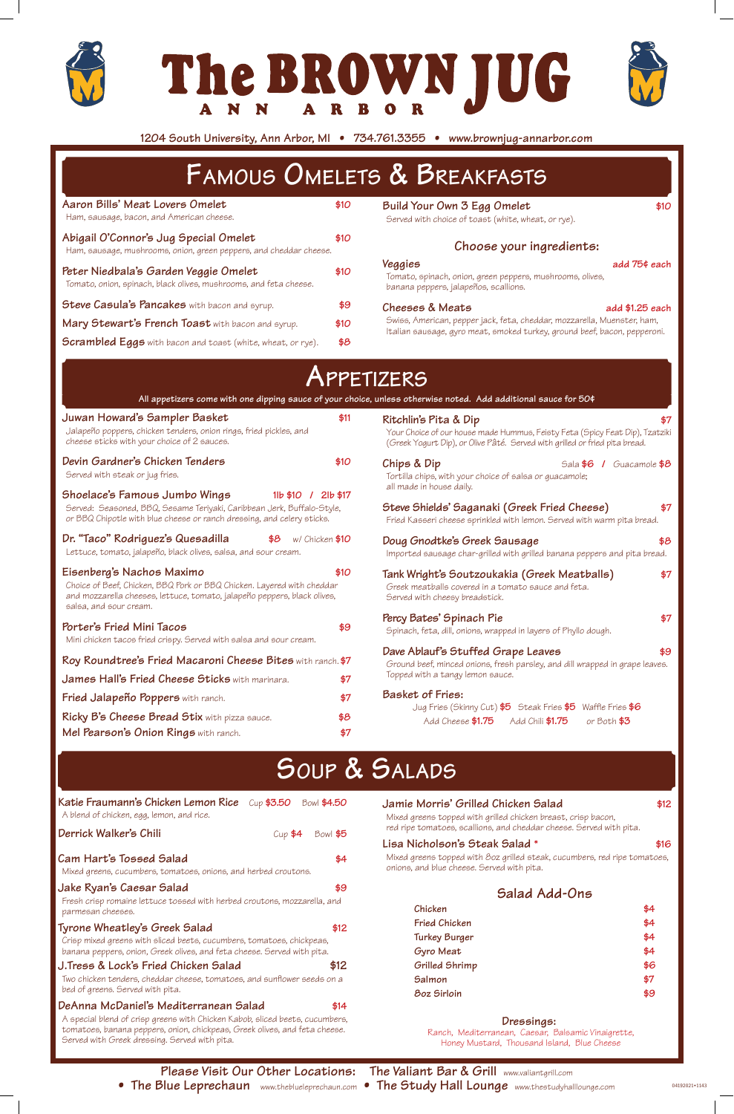**Please Visit Our Other Locations: The Valiant Bar & Grill** www.valiantgrill.com **• The Blue Leprechaun** www.theblueleprechaun.com **• The Study Hall Lounge** www.thestudyhalllounge.com







**1204 South University, Ann Arbor, MI • 734.761.3355 • www.brownjug-annarbor.com**

# **Famous Omelets & Breakfasts**

| Aaron Bills' Meat Lovers Omelet<br>Ham, sausage, bacon, and American cheese.                                                                                                                               | \$10 | Build Your Own 3 Egg Omelet<br>\$10<br>Served with choice of toast (white, wheat, or rye).                                                                                                                                      |  |
|------------------------------------------------------------------------------------------------------------------------------------------------------------------------------------------------------------|------|---------------------------------------------------------------------------------------------------------------------------------------------------------------------------------------------------------------------------------|--|
| Abigail O'Connor's Jug Special Omelet<br>Ham, sausage, mushrooms, onion, green peppers, and cheddar cheese.                                                                                                | \$10 | Choose your ingredients:                                                                                                                                                                                                        |  |
| Peter Niedbala's Garden Veggie Omelet<br>Tomato, onion, spinach, black olives, mushrooms, and feta cheese.                                                                                                 | \$10 | Veggies<br>add 75¢ each<br>Tomato, spinach, onion, green peppers, mushrooms, olives,<br>banana peppers, jalapeños, scallions.                                                                                                   |  |
| <b>Steve Casula's Pancakes</b> with bacon and syrup.                                                                                                                                                       | \$9  | Cheeses & Meats<br>add $$1.25$ each                                                                                                                                                                                             |  |
| Mary Stewart's French Toast with bacon and syrup.                                                                                                                                                          | \$10 | Swiss, American, pepper jack, feta, cheddar, mozzarella, Muenster, ham,<br>Italian sausage, gyro meat, smoked turkey, ground beef, bacon, pepperoni.                                                                            |  |
| <b>Scrambled Eggs</b> with bacon and toast (white, wheat, or rye).                                                                                                                                         | \$8  |                                                                                                                                                                                                                                 |  |
| Juwan Howard's Sampler Basket<br>Jalapeño poppers, chicken tenders, onion rings, fried pickles, and                                                                                                        | \$11 | All appetizers come with one dipping sauce of your choice, unless otherwise noted. Add additional sauce for 50¢<br>Ritchlin's Pita & Dip<br>\$7<br>Your Choice of our house made Hummus, Feisty Feta (Spicy Feat Dip), Tzatziki |  |
| cheese sticks with your choice of 2 sauces.                                                                                                                                                                |      | (Greek Yogurt Dip), or Olive Pâté. Served with grilled or fried pita bread.                                                                                                                                                     |  |
| Devin Gardner's Chicken Tenders<br>Served with steak or jug fries.                                                                                                                                         | \$10 | Chips & Dip<br>Sala \$6 / Guacamole \$8<br>Tortilla chips, with your choice of salsa or guacamole;<br>all made in house daily.                                                                                                  |  |
| Shoelace's Famous Jumbo Wings<br>$11b$ \$10 / 2lb \$17<br>Served: Seasoned, BBQ, Sesame Teriyaki, Caribbean Jerk, Buffalo-Style,<br>or BBQ Chipotle with blue cheese or ranch dressing, and celery sticks. |      | Steve Shields' Saganaki (Greek Fried Cheese)<br>\$7<br>Fried Kasseri cheese sprinkled with lemon. Served with warm pita bread.                                                                                                  |  |
| Dr. "Taco" Rodriguez's Quesadilla<br>$$8$ w/ Chicken $$10$<br>Lettuce, tomato, jalapeño, black olives, salsa, and sour cream.                                                                              |      | Doug Gnodtke's Greek Sausage<br>\$8<br>Imported sausage char-grilled with grilled banana peppers and pita bread.                                                                                                                |  |
|                                                                                                                                                                                                            |      | المامه المناورة المتواطن المستقر المتواطن والمناور والمتحدث والمتحدث والمستقر المستقر والمتحدث والمستقر والمستقر                                                                                                                |  |

**Eisenberg's Nachos Maximo \$10** Choice of Beef, Chicken, BBQ Pork or BBQ Chicken. Layered with cheddar and mozzarella cheeses, lettuce, tomato, jalapeño peppers, black olives, salsa, and sour cream.

| Porter's Fried Mini Tacos<br>Mini chicken tacos fried crispy. Served with salsa and sour cream. | \$9 |
|-------------------------------------------------------------------------------------------------|-----|
| Roy Roundtree's Fried Macaroni Cheese Bites with ranch. \$7                                     |     |
| James Hall's Fried Cheese Sticks with marinara.                                                 | \$7 |
| Fried Jalapeño Poppers with ranch.                                                              | \$7 |
| <b>Ricky B's Cheese Bread Stix</b> with pizza sauce.                                            | \$8 |
| Mel Pearson's Onion Rings with ranch.                                                           | \$7 |

### **Tank Wright's Soutzoukakia (Greek Meatballs) \$7** Greek meatballs covered in a tomato sauce and feta. Served with cheesy breadstick. **Percy Bates' Spinach Pie \$7** Spinach, feta, dill, onions, wrapped in layers of Phyllo dough. **Dave Ablauf's Stuffed Grape Leaves \$9** Ground beef, minced onions, fresh parsley, and dill wrapped in grape leaves. Topped with a tangy lemon sauce. **Basket of Fries:** Jug Fries (Skinny Cut) **\$5** Steak Fries **\$5** Waffle Fries **\$6** Add Cheese **\$1.75** Add Chili **\$1.75** or Both **\$3**

## **Soup & Salads**

| Katie Fraumann's Chicken Lemon Rice<br>A blend of chicken, egg, lemon, and rice.                                                                                                                                                                     | Cup \$3.50 Bowl \$4.50 |      |
|------------------------------------------------------------------------------------------------------------------------------------------------------------------------------------------------------------------------------------------------------|------------------------|------|
| Derrick Walker's Chili                                                                                                                                                                                                                               | $Cup$ $$4$ Bowl $$5$   |      |
| Cam Hart's Tossed Salad<br>Mixed greens, cucumbers, tomatoes, onions, and herbed croutons.                                                                                                                                                           |                        | \$4  |
| Jake Ryan's Caesar Salad<br>Fresh crisp romaine lettuce tossed with herbed croutons, mozzarella, and<br>parmesan cheeses.                                                                                                                            |                        | \$9  |
| Tyrone Wheatley's Greek Salad<br>Crisp mixed greens with sliced beets, cucumbers, tomatoes, chickpeas,<br>banana peppers, onion, Greek olives, and feta cheese. Served with pita.                                                                    |                        | \$12 |
| J. Tress & Lock's Fried Chicken Salad<br>Two chicken tenders, cheddar cheese, tomatoes, and sunflower seeds on a<br>bed of greens. Served with pita.                                                                                                 |                        | \$12 |
| DeAnna McDaniel's Mediterranean Salad<br>A special blend of crisp greens with Chicken Kabob, sliced beets, cucumbers,<br>tomatoes, banana peppers, onion, chickpeas, Greek olives, and feta cheese.<br>Served with Greek dressing. Served with pita. |                        | \$14 |

**Jamie Morris' Grilled Chicken Salad \$12**

Mixed greens topped with grilled chicken breast, crisp bacon, red ripe tomatoes, scallions, and cheddar cheese. Served with pita. **Lisa Nicholson's Steak Salad \* \$16** Mixed greens topped with 8oz grilled steak, cucumbers, red ripe tomatoes, onions, and blue cheese. Served with pita. **Salad Add-Ons Chicken \$4 Fried Chicken \$4 Turkey Burger \$4 Gyro Meat \$4 Grilled Shrimp \$6 Salmon \$7 8oz Sirloin \$9 Dressings:**

Ranch, Mediterranean, Caesar, Balsamic Vinaigrette, Honey Mustard, Thousand Island, Blue Cheese